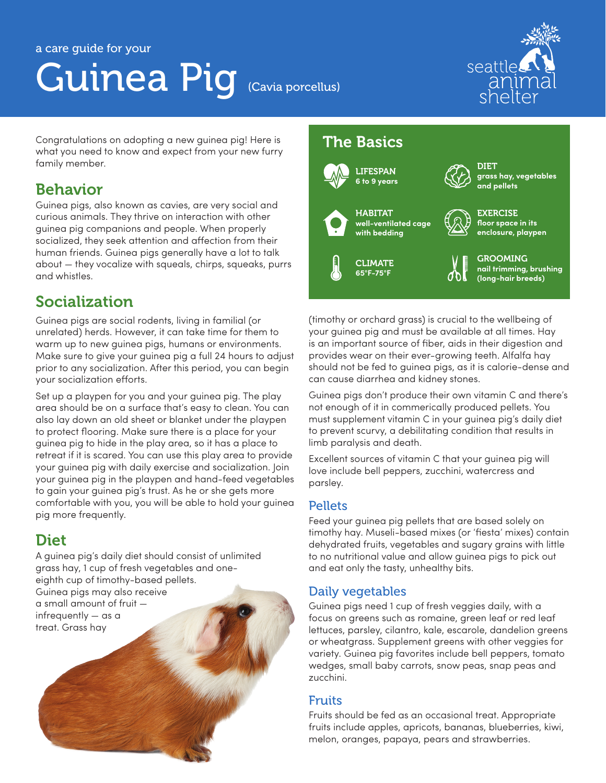# Guinea Pig (Cavia porcellus)



Congratulations on adopting a new guinea pig! Here is what you need to know and expect from your new furry family member.

### Behavior

Guinea pigs, also known as cavies, are very social and curious animals. They thrive on interaction with other guinea pig companions and people. When properly socialized, they seek attention and affection from their human friends. Guinea pigs generally have a lot to talk about — they vocalize with squeals, chirps, squeaks, purrs and whistles.

# Socialization

Guinea pigs are social rodents, living in familial (or unrelated) herds. However, it can take time for them to warm up to new guinea pigs, humans or environments. Make sure to give your guinea pig a full 24 hours to adjust prior to any socialization. After this period, you can begin your socialization efforts.

Set up a playpen for you and your guinea pig. The play area should be on a surface that's easy to clean. You can also lay down an old sheet or blanket under the playpen to protect flooring. Make sure there is a place for your guinea pig to hide in the play area, so it has a place to retreat if it is scared. You can use this play area to provide your guinea pig with daily exercise and socialization. Join your guinea pig in the playpen and hand-feed vegetables to gain your guinea pig's trust. As he or she gets more comfortable with you, you will be able to hold your guinea pig more frequently.

# Diet

A guinea pig's daily diet should consist of unlimited grass hay, 1 cup of fresh vegetables and oneeighth cup of timothy-based pellets. Guinea pigs may also receive a small amount of fruit infrequently — as a treat. Grass hay

# The Basics



(timothy or orchard grass) is crucial to the wellbeing of your guinea pig and must be available at all times. Hay is an important source of fiber, aids in their digestion and provides wear on their ever-growing teeth. Alfalfa hay should not be fed to guinea pigs, as it is calorie-dense and can cause diarrhea and kidney stones.

Guinea pigs don't produce their own vitamin C and there's not enough of it in commerically produced pellets. You must supplement vitamin C in your guinea pig's daily diet to prevent scurvy, a debilitating condition that results in limb paralysis and death.

Excellent sources of vitamin C that your guinea pig will love include bell peppers, zucchini, watercress and parsley.

#### Pellets

Feed your guinea pig pellets that are based solely on timothy hay. Museli-based mixes (or 'fiesta' mixes) contain dehydrated fruits, vegetables and sugary grains with little to no nutritional value and allow guinea pigs to pick out and eat only the tasty, unhealthy bits.

#### Daily vegetables

Guinea pigs need 1 cup of fresh veggies daily, with a focus on greens such as romaine, green leaf or red leaf lettuces, parsley, cilantro, kale, escarole, dandelion greens or wheatgrass. Supplement greens with other veggies for variety. Guinea pig favorites include bell peppers, tomato wedges, small baby carrots, snow peas, snap peas and zucchini.

#### Fruits

Fruits should be fed as an occasional treat. Appropriate fruits include apples, apricots, bananas, blueberries, kiwi, melon, oranges, papaya, pears and strawberries.